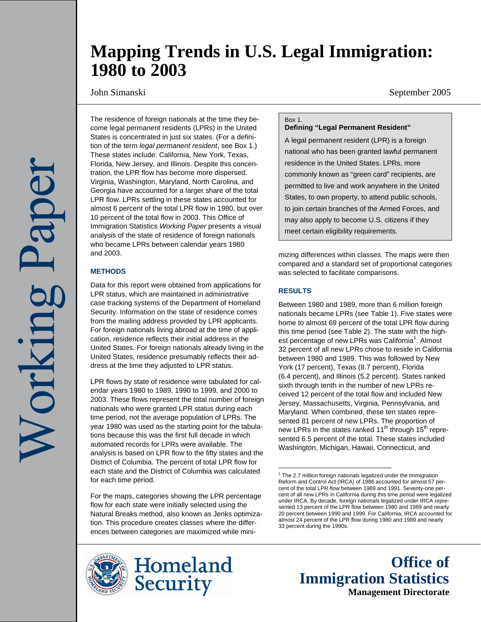# **Mapping Trends in U.S. Legal Immigration: 1980 to 2003**

John Simanski September 2005

The residence of foreign nationals at the time they become legal permanent residents (LPRs) in the United States is concentrated in just six states. (For a definition of the term *legal permanent resident*, see Box 1.) These states include: California, New York, Texas, Florida, New Jersey, and Illinois. Despite this concentration, the LPR flow has become more dispersed. Virginia, Washington, Maryland, North Carolina, and Georgia have accounted for a larger share of the total LPR flow. LPRs settling in these states accounted for almost 6 percent of the total LPR flow in 1980, but over 10 percent of the total flow in 2003. This Office of Immigration Statistics *Working Paper* presents a visual analysis of the state of residence of foreign nationals who became LPRs between calendar years 1980 and 2003.

## **METHODS**

Data for this report were obtained from applications for LPR status, which are maintained in administrative case tracking systems of the Department of Homeland Security. Information on the state of residence comes from the mailing address provided by LPR applicants. For foreign nationals living abroad at the time of application, residence reflects their initial address in the United States. For foreign nationals already living in the United States, residence presumably reflects their address at the time they adjusted to LPR status.

LPR flows by state of residence were tabulated for calendar years 1980 to 1989, 1990 to 1999, and 2000 to 2003. These flows represent the total number of foreign nationals who were granted LPR status during each time period, not the average population of LPRs. The year 1980 was used as the starting point for the tabulations because this was the first full decade in which automated records for LPRs were available. The analysis is based on LPR flow to the fifty states and the District of Columbia. The percent of total LPR flow for each state and the District of Columbia was calculated for each time period.

For the maps, categories showing the LPR percentage flow for each state were initially selected using the Natural Breaks method, also known as Jenks optimization. This procedure creates classes where the differences between categories are maximized while mini-





#### Box 1.

**Defining "Legal Permanent Resident"** 

A legal permanent resident (LPR) is a foreign national who has been granted lawful permanent residence in the United States. LPRs, more commonly known as "green card" recipients, are permitted to live and work anywhere in the United States, to own property, to attend public schools, to join certain branches of the Armed Forces, and may also apply to become U.S. citizens if they meet certain eligibility requirements.

mizing differences within classes. The maps were then compared and a standard set of proportional categories was selected to facilitate comparisons.

## **RESULTS**

Between 1980 and 1989, more than 6 million foreign nationals became LPRs (see Table 1). Five states were home to almost 69 percent of the total LPR flow during this time period (see Table 2). The state with the highest percentage of new LPRs was California<sup>1</sup>. Almost 32 percent of all new LPRs chose to reside in California between 1980 and 1989. This was followed by New York (17 percent), Texas (8.7 percent), Florida (6.4 percent), and Illinois (5.2 percent). States ranked sixth through tenth in the number of new LPRs received 12 percent of the total flow and included New Jersey, Massachusetts, Virginia, Pennsylvania, and Maryland. When combined, these ten states represented 81 percent of new LPRs. The proportion of new LPRs in the states ranked  $11<sup>th</sup>$  through  $15<sup>th</sup>$  represented 6.5 percent of the total. These states included Washington, Michigan, Hawaii, Connecticut, and

**Office of Immigration Statistics Management Directorate**

<sup>1&</sup>lt;br><sup>1</sup> The 2.7 million foreign nationals legalized under the Immigration Reform and Control Act (IRCA) of 1986 accounted for almost 57 percent of the total LPR flow between 1989 and 1991. Seventy-one percent of all new LPRs in California during this time period were legalized under IRCA. By decade, foreign nationals legalized under IRCA represented 13 percent of the LPR flow between 1980 and 1989 and nearly 20 percent between 1990 and 1999. For California, IRCA accounted for almost 24 percent of the LPR flow during 1980 and 1989 and nearly 33 percent during the 1990s.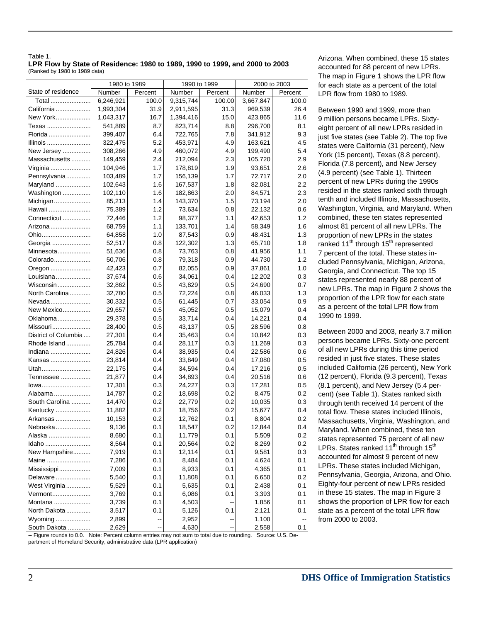| Table 1.                                                                     |  |
|------------------------------------------------------------------------------|--|
| LPR Flow by State of Residence: 1980 to 1989, 1990 to 1999, and 2000 to 2003 |  |
| (Ranked by 1980 to 1989 data)                                                |  |

|                      | 1980 to 1989 |         | 1990 to 1999     |                          | 2000 to 2003 |         |  |
|----------------------|--------------|---------|------------------|--------------------------|--------------|---------|--|
| State of residence   | Number       | Percent | Number           | Percent                  | Number       | Percent |  |
| Total                | 6,246,921    | 100.0   | 9,315,744        | 100.00                   | 3,667,847    | 100.0   |  |
| California           | 1,993,304    | 31.9    | 2,911,595        | 31.3                     | 969,539      | 26.4    |  |
| New York             | 1,043,317    | 16.7    | 1,394,416        | 15.0                     | 423,865      | 11.6    |  |
| Texas                | 541,889      | 8.7     | 823,714          | 8.8                      | 296,700      | 8.1     |  |
| Florida              | 399,407      | 6.4     | 722,765          | 7.8                      | 341,912      | 9.3     |  |
| Illinois             | 322,475      | 5.2     | 453,971          | 4.9                      | 163,621      | 4.5     |  |
| New Jersey           | 308,266      | 4.9     | 460,072          | 4.9                      | 199,490      | 5.4     |  |
| Massachusetts        | 149,459      | 2.4     | 212,094          | 2.3                      | 105,720      | 2.9     |  |
| Virginia             | 104,946      | 1.7     | 178,819          | 1.9                      | 93,651       | 2.6     |  |
| Pennsylvania         | 103,489      | 1.7     | 156,139          | 1.7                      | 72,717       | 2.0     |  |
| Maryland             | 102,643      | 1.6     | 167,537          | 1.8                      | 82,081       | 2.2     |  |
| Washington           | 102,110      | 1.6     | 182,863          | 2.0                      | 84,571       | 2.3     |  |
| Michigan             | 85,213       | 1.4     | 143,370          | 1.5                      | 73,194       | 2.0     |  |
| Hawaii               | 75,389       | 1.2     | 73,634           | 0.8                      | 22,132       | 0.6     |  |
| Connecticut          | 72,446       | 1.2     | 98,377           | 1.1                      | 42,653       | 1.2     |  |
| Arizona              | 68,759       | 1.1     | 133,701          | 1.4                      | 58,349       | 1.6     |  |
| Ohio                 | 64,858       | 1.0     | 87,543           | 0.9                      | 48,431       | 1.3     |  |
| Georgia              | 52,517       | 0.8     | 122,302          | 1.3                      | 65,710       | 1.8     |  |
| Minnesota            | 51,636       | 0.8     | 73,763           | 0.8                      | 41,956       | 1.1     |  |
| Colorado             | 50,706       | 0.8     | 79,318           | 0.9                      | 44,730       | 1.2     |  |
| Oregon               | 42,423       | 0.7     | 82,055           | 0.9                      | 37,861       | 1.0     |  |
| Louisiana            | 37,674       | 0.6     | 34,061           | 0.4                      | 12,202       | 0.3     |  |
| Wisconsin            | 32,862       | 0.5     | 43,829           | 0.5                      | 24,690       | 0.7     |  |
| North Carolina       | 32,780       | 0.5     | 72,224           | 0.8                      | 46,033       | 1.3     |  |
| Nevada               | 30,332       | 0.5     | 61,445           | 0.7                      | 33,054       | 0.9     |  |
| New Mexico           | 29,657       | 0.5     | 45,052           | 0.5                      | 15,079       | 0.4     |  |
| Oklahoma             | 29,378       | 0.5     | 33,714           | 0.4                      | 14,221       | 0.4     |  |
| Missouri             | 28,400       | 0.5     | 43,137           | 0.5                      | 28,596       | 0.8     |  |
| District of Columbia | 27,301       | 0.4     | 35,463           | 0.4                      | 10,842       | 0.3     |  |
| Rhode Island         | 25,784       | 0.4     | 28,117           | 0.3                      | 11,269       | 0.3     |  |
| Indiana              | 24,826       | 0.4     | 38,935           | 0.4                      | 22,586       | 0.6     |  |
| Kansas               | 23,814       | 0.4     | 33,849           | 0.4                      | 17,080       | 0.5     |  |
| Utah                 | 22,175       | 0.4     | 34,594           | 0.4                      | 17,216       | 0.5     |  |
| Tennessee            | 21,877       | 0.4     | 34,893           | 0.4                      | 20,516       | 0.6     |  |
| lowa                 | 17,301       | 0.3     | 24,227           | 0.3                      | 17,281       | 0.5     |  |
| Alabama              | 14,787       | 0.2     |                  | 0.2                      | 8,475        | 0.2     |  |
| South Carolina       | 14,470       | 0.2     | 18,698<br>22,779 | 0.2                      | 10,035       | 0.3     |  |
|                      | 11,882       | 0.2     | 18,756           | 0.2                      | 15,677       | 0.4     |  |
| Kentucky             | 10,153       |         | 12,762           |                          |              | 0.2     |  |
| Arkansas             |              | 0.2     |                  | 0.1                      | 8,804        |         |  |
| Nebraska             | 9,136        | 0.1     | 18,547           | 0.2                      | 12,844       | 0.4     |  |
| Alaska               | 8,680        | 0.1     | 11,779           | 0.1                      | 5,509        | 0.2     |  |
| Idaho                | 8,564        | 0.1     | 20,564           | 0.2                      | 8,269        | 0.2     |  |
| New Hampshire        | 7,919        | 0.1     | 12,114           | 0.1                      | 9,581        | 0.3     |  |
| Maine                | 7,286        | 0.1     | 8,484            | 0.1                      | 4,624        | 0.1     |  |
| Mississippi          | 7,009        | 0.1     | 8,933            | 0.1                      | 4,365        | 0.1     |  |
| Delaware             | 5,540        | 0.1     | 11,808           | 0.1                      | 6,650        | 0.2     |  |
| West Virginia        | 5,529        | 0.1     | 5,635            | 0.1                      | 2,438        | 0.1     |  |
| Vermont              | 3,769        | 0.1     | 6,086            | 0.1                      | 3,393        | 0.1     |  |
| Montana              | 3,739        | 0.1     | 4,503            | --                       | 1,856        | 0.1     |  |
| North Dakota         | 3,517        | 0.1     | 5,126            | 0.1                      | 2,121        | 0.1     |  |
| Wyoming              | 2,899        | --      | 2,952            | ⊷                        | 1,100        |         |  |
| South Dakota         | 2,629        |         | 4,630            | $\overline{\phantom{a}}$ | 2,558        | 0.1     |  |

Arizona. When combined, these 15 states accounted for 88 percent of new LPRs. The map in Figure 1 shows the LPR flow for each state as a percent of the total LPR flow from 1980 to 1989.

Between 1990 and 1999, more than 9 million persons became LPRs. Sixtyeight percent of all new LPRs resided in just five states (see Table 2). The top five states were California (31 percent), New York (15 percent), Texas (8.8 percent), Florida (7.8 percent), and New Jersey (4.9 percent) (see Table 1). Thirteen percent of new LPRs during the 1990s resided in the states ranked sixth through tenth and included Illinois, Massachusetts, Washington, Virginia, and Maryland. When combined, these ten states represented almost 81 percent of all new LPRs. The proportion of new LPRs in the states ranked  $11<sup>th</sup>$  through  $15<sup>th</sup>$  represented 7 percent of the total. These states included Pennsylvania, Michigan, Arizona, Georgia, and Connecticut. The top 15 states represented nearly 88 percent of new LPRs. The map in Figure 2 shows the proportion of the LPR flow for each state as a percent of the total LPR flow from 1990 to 1999.

Between 2000 and 2003, nearly 3.7 million persons became LPRs. Sixty-one percent of all new LPRs during this time period resided in just five states. These states included California (26 percent), New York (12 percent), Florida (9.3 percent), Texas (8.1 percent), and New Jersey (5.4 percent) (see Table 1). States ranked sixth through tenth received 14 percent of the total flow. These states included Illinois, Massachusetts, Virginia, Washington, and Maryland. When combined, these ten states represented 75 percent of all new LPRs. States ranked  $11<sup>th</sup>$  through  $15<sup>th</sup>$ accounted for almost 9 percent of new LPRs. These states included Michigan, Pennsylvania, Georgia, Arizona, and Ohio. Eighty-four percent of new LPRs resided in these 15 states. The map in Figure 3 shows the proportion of LPR flow for each state as a percent of the total LPR flow from 2000 to 2003.

-- Figure rounds to 0.0. Note: Percent column entries may not sum to total due to rounding. Source: U.S. De-

partment of Homeland Security, administrative data (LPR application)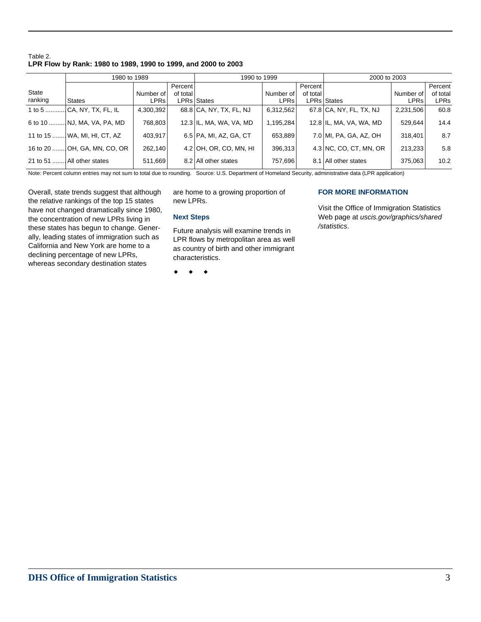## Table 2. **LPR Flow by Rank: 1980 to 1989, 1990 to 1999, and 2000 to 2003**

|         | 1980 to 1989                 |             |          | 1990 to 1999            |             | 2000 to 2003 |                          |             |             |
|---------|------------------------------|-------------|----------|-------------------------|-------------|--------------|--------------------------|-------------|-------------|
|         |                              |             | Percent  |                         |             | Percent      |                          |             | Percent     |
| State   |                              | Number of   | of total |                         | Number of   | of total     |                          | Number of   | of total    |
| ranking | <b>States</b>                | <b>LPRs</b> |          | LPRs States             | <b>LPRs</b> |              | <b>LPRs States</b>       | <b>LPRs</b> | <b>LPRs</b> |
|         |                              | 4,300,392   |          | 68.8 CA, NY, TX, FL, NJ | 6,312,562   |              | 67.8 CA, NY, FL, TX, NJ  | 2,231,506   | 60.8        |
|         | 6 to 10  NJ, MA, VA, PA, MD  | 768,803     |          | 12.3 IL, MA, WA, VA, MD | 1,195,284   |              | 12.8 IL, MA, VA, WA, MD  | 529,644     | 14.4        |
|         | 11 to 15  WA, MI, HI, CT, AZ | 403,917     |          | 6.5 PA, MI, AZ, GA, CT  | 653,889     |              | 7.0 MI, PA, GA, AZ, OH   | 318,401     | 8.7         |
|         | 16 to 20  OH, GA, MN, CO, OR | 262.140     |          | 4.2 OH, OR, CO, MN, HI  | 396.313     |              | $4.3$ NC, CO, CT, MN, OR | 213.233     | 5.8         |
|         | 21 to 51  All other states   | 511,669     |          | 8.2 All other states    | 757,696     |              | 8.1 All other states     | 375,063     | 10.2        |

Note: Percent column entries may not sum to total due to rounding. Source: U.S. Department of Homeland Security, administrative data (LPR application)

Overall, state trends suggest that although the relative rankings of the top 15 states have not changed dramatically since 1980, the concentration of new LPRs living in these states has begun to change. Generally, leading states of immigration such as California and New York are home to a declining percentage of new LPRs, whereas secondary destination states

are home to a growing proportion of new LPRs.

### **Next Steps**

Future analysis will examine trends in LPR flows by metropolitan area as well as country of birth and other immigrant characteristics.

 $\bullet$   $\bullet$   $\bullet$ 

## **FOR MORE INFORMATION**

Visit the Office of Immigration Statistics Web page at *uscis.gov/graphics/shared /statistics*.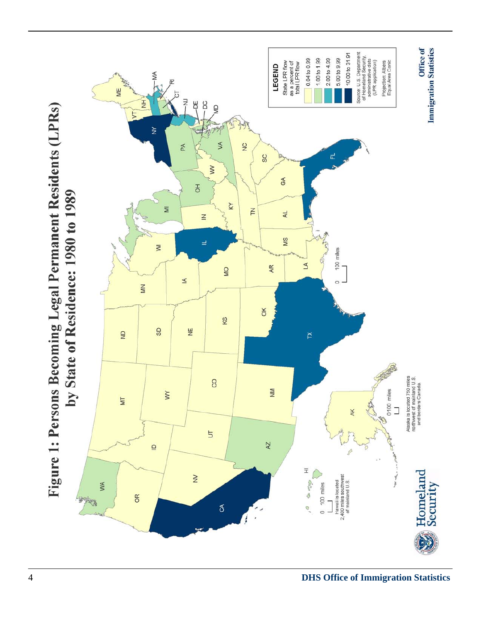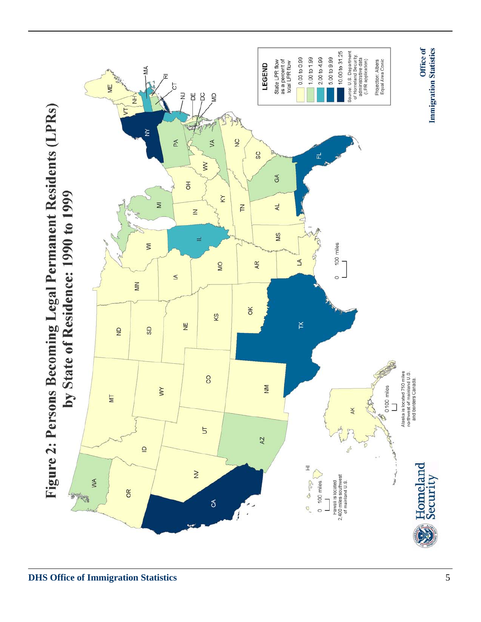